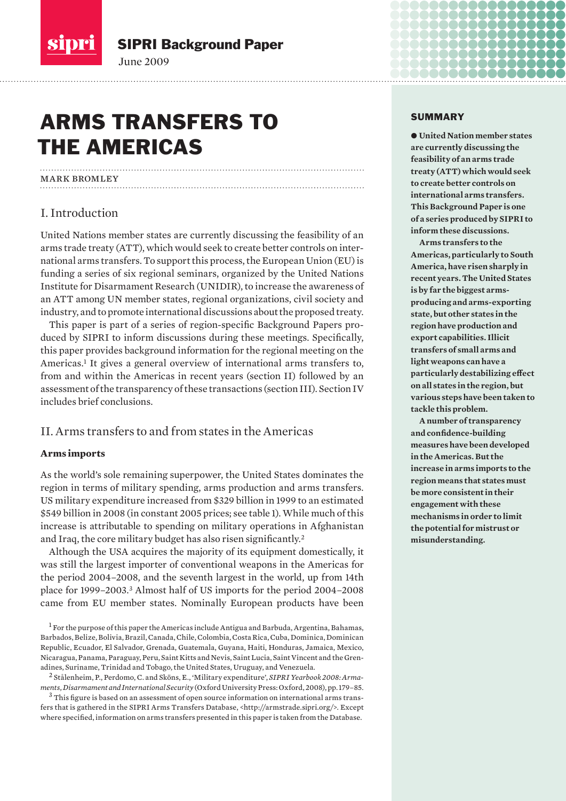<span id="page-0-0"></span>

# ARMS TRANSFERS TO the Americas

June 2009

mark bromley

# I. Introduction

United Nations member states are currently discussing the feasibility of an arms trade treaty (ATT), which would seek to create better controls on international arms transfers. To support this process, the European Union (EU) is funding a series of six regional seminars, organized by the United Nations Institute for Disarmament Research (UNIDIR), to increase the awareness of an ATT among UN member states, regional organizations, civil society and industry, and to promote international discussions about the proposed treaty.

This paper is part of a series of region-specific Background Papers produced by SIPRI to inform discussions during these meetings. Specifically, this paper provides background information for the regional meeting on the Americas.<sup>1</sup> It gives a general overview of international arms transfers to, from and within the Americas in recent years (section II) followed by an assessment of the transparency of these transactions (section III). Section IV includes brief conclusions.

# II. Arms transfers to and from states in the Americas

## **Arms imports**

As the world's sole remaining superpower, the United States dominates the region in terms of military spending, arms production and arms transfers. US military expenditure increased from \$329 billion in 1999 to an estimated \$549 billion in 2008 (in constant 2005 prices; see table 1). While much of this increase is attributable to spending on military operations in Afghanistan and Iraq, the core military budget has also risen significantly.<sup>2</sup>

Although the USA acquires the majority of its equipment domestically, it was still the largest importer of conventional weapons in the Americas for the period 2004–2008, and the seventh largest in the world, up from 14th place for 1999–2003.3 Almost half of US imports for the period 2004–2008 came from EU member states. Nominally European products have been

#### SUMMARY

 $\bullet$  United Nation member states **are currently discussing the feasibility of an arms trade treaty (ATT) which would seek to create better controls on international arms transfers. This Background Paper is one of a series produced by SIPRI to inform these discussions.**

<u>aaaaaaaaaaaa</u> ..............

............. ,............ e e e e e e e e

**Arms transfers to the Americas, particularly to South America, have risen sharply in recent years. The United States is by far the biggest armsproducing and arms-exporting state, but other states in the region have production and export capabilities. Illicit transfers of small arms and light weapons can have a particularly destabilizing effect on all states in the region, but various steps have been taken to tackle this problem.**

**A number of transparency and confidence-building measures have been developed in the Americas. But the increase in arms imports to the region means that states must be more consistent in their engagement with these mechanisms in order to limit the potential for mistrust or misunderstanding.** 

 $^1$  For the purpose of this paper the Americas include Antigua and Barbuda, Argentina, Bahamas, Barbados, Belize, Bolivia, Brazil, Canada, Chile, Colombia, Costa Rica, Cuba, Dominica, Dominican Republic, Ecuador, El Salvador, Grenada, Guatemala, Guyana, Haiti, Honduras, Jamaica, Mexico, Nicaragua, Panama, Paraguay, Peru, Saint Kitts and Nevis, Saint Lucia, Saint Vincent and the Grenadines, Suriname, Trinidad and Tobago, the United States, Uruguay, and Venezuela.

<sup>2</sup> Stålenheim, P., Perdomo, C. and Sköns, E., 'Military expenditure', *SIPRI Yearbook 2008: Armaments, Disarmament and International Security* (Oxford University Press: Oxford, 2008), pp. 179–85.

 $^3$  This figure is based on an assessment of open source information on international arms transfers that is gathered in the SIPRI Arms Transfers Database, <http://armstrade.sipri.org/>. Except where specified, information on arms transfers presented in this paper is taken from the Database.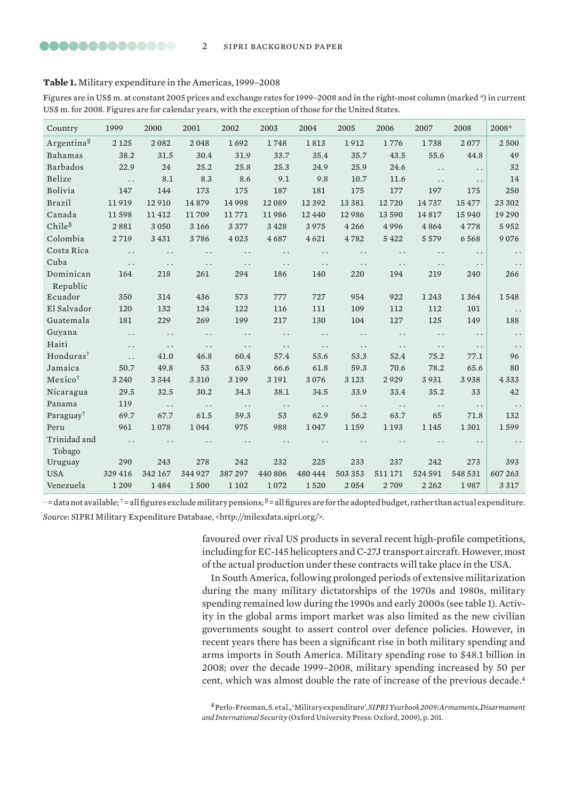#### <span id="page-1-0"></span>**Table 1.** Military expenditure in the Americas, 1999–2008

Figures are in US\$ m. at constant 2005 prices and exchange rates for 1999–2008 and in the right-most column (marked \*) in current US\$ m. for 2008. Figures are for calendar years, with the exception of those for the United States.

| Country                | 1999     | 2000                 | 2001                 | 2002                 | 2003                 | 2004                   | 2005                 | 2006                 | 2007                 | 2008                   | 2008*                |
|------------------------|----------|----------------------|----------------------|----------------------|----------------------|------------------------|----------------------|----------------------|----------------------|------------------------|----------------------|
| Argentina <sup>§</sup> | 2 1 2 5  | 2082                 | 2048                 | 1692                 | 1748                 | 1813                   | 1912                 | 1776                 | 1738                 | 2077                   | 2500                 |
| Bahamas                | 38.2     | 31.5                 | 30.4                 | 31.9                 | 33.7                 | 35.4                   | 35.7                 | 43.5                 | 55.6                 | 44.8                   | 49                   |
| <b>Barbados</b>        | 22.9     | 24                   | 25.2                 | 25.8                 | 25.3                 | 24.9                   | 25.9                 | 24.6                 | $\ddot{\phantom{0}}$ | . .                    | 32                   |
| Belize                 | $\cdots$ | 8.1                  | 8.3                  | 8.6                  | 9.1                  | 9.8                    | 10.7                 | 11.6                 | $\ddot{\phantom{0}}$ | $\ddots$               | 14                   |
| Bolivia                | 147      | 144                  | 173                  | 175                  | 187                  | 181                    | 175                  | 177                  | 197                  | 175                    | 250                  |
| <b>Brazil</b>          | 11919    | 12 9 10              | 14879                | 14 9 98              | 12089                | 12 3 9 2               | 13 3 8 1             | 12720                | 14737                | 15477                  | 23 302               |
| Canada                 | 11598    | 11412                | 11709                | 11771                | 11986                | 12 4 4 0               | 12986                | 13 590               | 14817                | 15 9 40                | 19 290               |
| Chile <sup>§</sup>     | 2881     | 3 0 5 0              | 3 1 6 6              | 3377                 | 3428                 | 3975                   | 4 2 6 6              | 4996                 | 4864                 | 4778                   | 5952                 |
| Colombia               | 2719     | 3 4 3 1              | 3786                 | 4 0 23               | 4687                 | 4 6 21                 | 4782                 | 5422                 | 5579                 | 6568                   | 9076                 |
| Costa Rica             | $\ddots$ | $\ddot{\phantom{0}}$ | $\ddot{\phantom{0}}$ | $\ddot{\phantom{0}}$ | $\ddot{\phantom{0}}$ | $\ddot{\phantom{0}}$   | $\ddot{\phantom{0}}$ | $\ddot{\phantom{0}}$ | $\ddot{\phantom{0}}$ | $\ddot{\phantom{0}}$   | $\ddot{\phantom{0}}$ |
| Cuba                   | $\ddots$ | $\ddots$             | $\ddots$             | $\ddots$             | $\ddots$             | $\ddots$               | $\ddot{\phantom{0}}$ | $\ddot{\phantom{0}}$ | $\ddot{\phantom{0}}$ | $\ddotsc$              | $\ddot{\phantom{0}}$ |
| Dominican              | 164      | 218                  | 261                  | 294                  | 186                  | 140                    | 220                  | 194                  | 219                  | 240                    | 266                  |
| Republic               |          |                      |                      |                      |                      |                        |                      |                      |                      |                        |                      |
| Ecuador                | 350      | 314                  | 436                  | 573                  | 777                  | 727                    | 954                  | 922                  | 1 2 4 3              | 1 3 6 4                | 1548                 |
| El Salvador            | 120      | 132                  | 124                  | 122                  | 116                  | 111                    | 109                  | 112                  | 112                  | 101                    | $\ddots$             |
| Guatemala              | 181      | 229                  | 269                  | 199                  | 217                  | 130                    | 104                  | 127                  | 125                  | 149                    | 188                  |
| Guyana                 | $\ddots$ | $\ddot{\phantom{0}}$ | $\ddots$             | $\ddots$             | $\cdots$             | $\cdots$               | $\ddots$             | $\ddots$             | $\ddot{\phantom{0}}$ | $\ddots$               | $\ddots$             |
| Haiti                  | $\ddots$ | $\ddots$             | $\ddots$             | $\ddots$             | $\ddots$             | $\ddots$               | $\ddot{\phantom{0}}$ | $\ddotsc$            | $\ddot{\phantom{0}}$ | $\ddotsc$              | $\ddots$             |
| Honduras <sup>†</sup>  | $\ddots$ | 41.0                 | 46.8                 | 60.4                 | 57.4                 | 53.6                   | 53.3                 | 52.4                 | 75.2                 | 77.1                   | 96                   |
| Jamaica                | 50.7     | 49.8                 | 53                   | 63.9                 | 66.6                 | 61.8                   | 59.3                 | 70.6                 | 78.2                 | 65.6                   | 80                   |
| Mexico <sup>+</sup>    | 3 2 4 0  | 3 3 4 4              | 3 3 1 0              | 3 1 9 9              | 3 1 9 1              | 3076                   | 3 1 2 3              | 2929                 | 3931                 | 3938                   | 4333                 |
| Nicaragua              | 29.5     | 32.5                 | 30.2                 | 34.3                 | 38.1                 | 34.5                   | 33.9                 | 33.4                 | 35.2                 | 33                     | 42                   |
| Panama                 | 119      | $\ddots$             | $\ddots$             | $\cdots$             | $\cdots$             | $\cdots$               | $\ddots$             | $\ddots$             | $\ddots$             | . .                    | $\ddots$             |
| Paraguay <sup>†</sup>  | 69.7     | 67.7                 | 61.5                 | 59.3                 | 53                   | 62.9                   | 56.2                 | 63.7                 | 65                   | 71.8                   | 132                  |
| Peru                   | 961      | 1078                 | 1044                 | 975                  | 988                  | 1047                   | 1 1 5 9              | 1 1 9 3              | 1 1 4 5              | 1301                   | 1599                 |
| Trinidad and<br>Tobago | $\ddots$ | $\ddot{\phantom{0}}$ | $\ddots$             | $\ddots$             | $\ddots$             | $\ddot{\phantom{a}}$ . | $\ddot{\phantom{0}}$ | $\ddot{\phantom{0}}$ | $\ddot{\phantom{0}}$ | $\ddot{\phantom{a}}$ . |                      |
| Uruguay                | 290      | 243                  | 278                  | 242                  | 232                  | 225                    | 233                  | 237                  | 242                  | 273                    | 393                  |
| <b>USA</b>             | 329 416  | 342 167              | 344 927              | 387 297              | 440 806              | 480 444                | 503 353              | 511 171              | 524 591              | 548 531                | 607 263              |
| Venezuela              | 1 2 0 9  | 1484                 | 1500                 | 1 1 0 2              | 1072                 | 1520                   | 2054                 | 2709                 | 2 2 6 2              | 1987                   | 3317                 |

 $\cdot$  = data not available;  $^{\dagger}$  = all figures exclude military pensions;  $\delta$  = all figures are for the adopted budget, rather than actual expenditure.

*Source*: SIPRI Military Expenditure Database, <http://milexdata.sipri.org/>.

favoured over rival US products in several recent high-profile competitions, including for EC-145 helicopters and C-27J transport aircraft. However, most of the actual production under these contracts will take place in the USA.

In South America, following prolonged periods of extensive militarization during the many military dictatorships of the 1970s and 1980s, military spending remained low during the 1990s and early 2000s (see table 1). Activity in the global arms import market was also limited as the new civilian governments sought to assert control over defence policies. However, in recent years there has been a significant rise in both military spending and arms imports in South America. Military spending rose to \$48.1 billion in 2008; over the decade 1999–2008, military spending increased by 50 per cent, which was almost double the rate of increase of the previous decade.<sup>4</sup>

4 Perlo-Freeman, S. et al., 'Military expenditure', *SIPRI Yearbook 2009: Armaments, Disarmament and International Security* (Oxford University Press: Oxford, 2009), p. 201.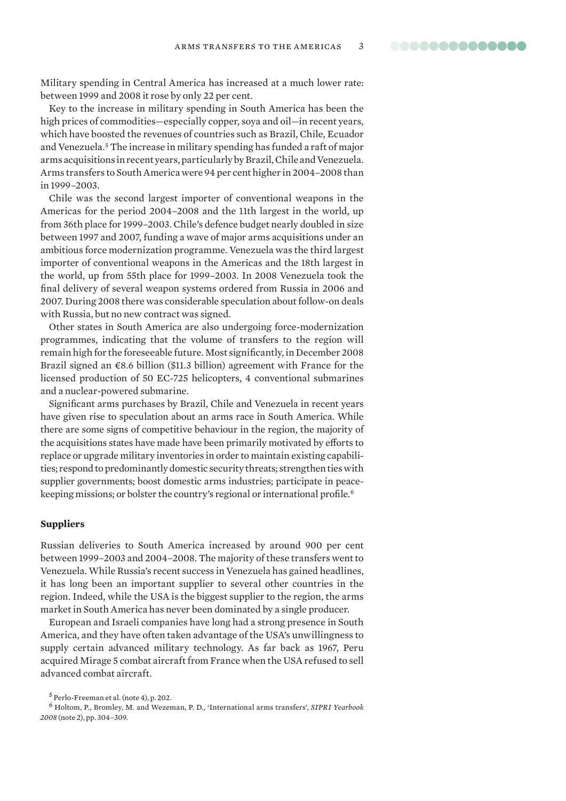<span id="page-2-0"></span>Military spending in Central America has increased at a much lower rate: between 1999 and 2008 it rose by only 22 per cent.

Key to the increase in military spending in South America has been the high prices of commodities—especially copper, soya and oil—in recent years, which have boosted the revenues of countries such as Brazil, Chile, Ecuador and Venezuela.5 The increase in military spending has funded a raft of major arms acquisitions in recent years, particularly by Brazil, Chile and Venezuela. Arms transfers to South America were 94 per cent higher in 2004–2008 than in 1999–2003.

Chile was the second largest importer of conventional weapons in the Americas for the period 2004–2008 and the 11th largest in the world, up from 36th place for 1999–2003. Chile's defence budget nearly doubled in size between 1997 and 2007, funding a wave of major arms acquisitions under an ambitious force modernization programme. Venezuela was the third largest importer of conventional weapons in the Americas and the 18th largest in the world, up from 55th place for 1999–2003. In 2008 Venezuela took the final delivery of several weapon systems ordered from Russia in 2006 and 2007. During 2008 there was considerable speculation about follow-on deals with Russia, but no new contract was signed.

Other states in South America are also undergoing force-modernization programmes, indicating that the volume of transfers to the region will remain high for the foreseeable future. Most significantly, in December 2008 Brazil signed an  $\epsilon$ 8.6 billion (\$11.3 billion) agreement with France for the licensed production of 50 EC-725 helicopters, 4 conventional submarines and a nuclear-powered submarine.

Significant arms purchases by Brazil, Chile and Venezuela in recent years have given rise to speculation about an arms race in South America. While there are some signs of competitive behaviour in the region, the majority of the acquisitions states have made have been primarily motivated by efforts to replace or upgrade military inventories in order to maintain existing capabilities; respond to predominantly domestic security threats; strengthen ties with supplier governments; boost domestic arms industries; participate in peacekeeping missions; or bolster the country's regional or international profile.<sup>6</sup>

#### **Suppliers**

Russian deliveries to South America increased by around 900 per cent between 1999–2003 and 2004–2008. The majority of these transfers went to Venezuela. While Russia's recent success in Venezuela has gained headlines, it has long been an important supplier to several other countries in the region. Indeed, while the USA is the biggest supplier to the region, the arms market in South America has never been dominated by a single producer.

European and Israeli companies have long had a strong presence in South America, and they have often taken advantage of the USA's unwillingness to supply certain advanced military technology. As far back as 1967, Peru acquired Mirage 5 combat aircraft from France when the USA refused to sell advanced combat aircraft.

<sup>5</sup> Perlo-Freeman et al. (note 4), p. 202.

<sup>6</sup> Holtom, P., Bromley, M. and Wezeman, P. D., 'International arms transfers', *SIPRI Yearbook 2008* (note 2), pp. 304–309.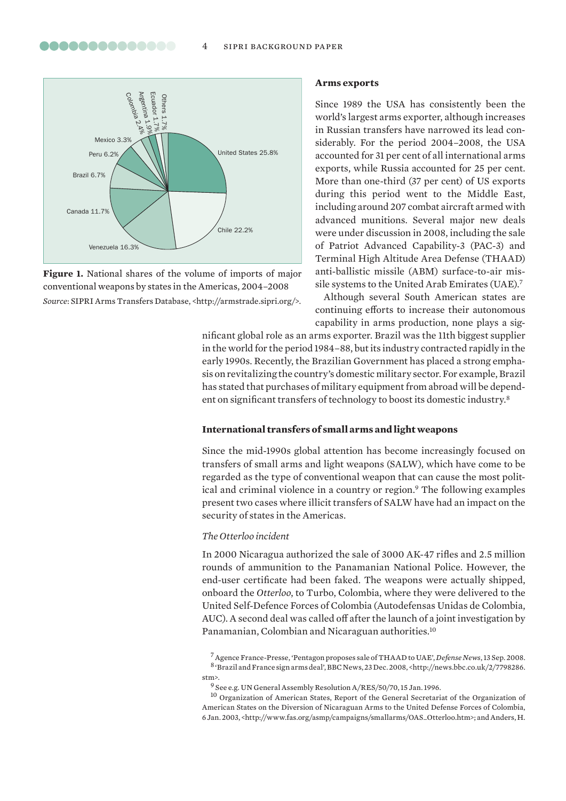<span id="page-3-0"></span>

**Figure 1.** National shares of the volume of imports of major conventional weapons by states in the Americas, 2004–2008 *Source*: SIPRI Arms Transfers Database, <http://armstrade.sipri.org/>.

#### **Arms exports**

Since 1989 the USA has consistently been the world's largest arms exporter, although increases in Russian transfers have narrowed its lead considerably. For the period 2004–2008, the USA accounted for 31 per cent of all international arms exports, while Russia accounted for 25 per cent. More than one-third (37 per cent) of US exports during this period went to the Middle East, including around 207 combat aircraft armed with advanced munitions. Several major new deals were under discussion in 2008, including the sale of Patriot Advanced Capability-3 (PAC-3) and Terminal High Altitude Area Defense (THAAD) anti-ballistic missile (ABM) surface-to-air missile systems to the United Arab Emirates (UAE).7

Although several South American states are continuing efforts to increase their autonomous capability in arms production, none plays a sig-

nificant global role as an arms exporter. Brazil was the 11th biggest supplier in the world for the period 1984–88, but its industry contracted rapidly in the early 1990s. Recently, the Brazilian Government has placed a strong emphasis on revitalizing the country's domestic military sector. For example, Brazil has stated that purchases of military equipment from abroad will be dependent on significant transfers of technology to boost its domestic industry.8

#### **International transfers of small arms and light weapons**

Since the mid-1990s global attention has become increasingly focused on transfers of small arms and light weapons (SALW), which have come to be regarded as the type of conventional weapon that can cause the most political and criminal violence in a country or region.<sup>9</sup> The following examples present two cases where illicit transfers of SALW have had an impact on the security of states in the Americas.

#### *The Otterloo incident*

In 2000 Nicaragua authorized the sale of 3000 AK-47 rifles and 2.5 million rounds of ammunition to the Panamanian National Police. However, the end-user certificate had been faked. The weapons were actually shipped, onboard the *Otterloo*, to Turbo, Colombia, where they were delivered to the United Self-Defence Forces of Colombia (Autodefensas Unidas de Colombia, AUC). A second deal was called off after the launch of a joint investigation by Panamanian, Colombian and Nicaraguan authorities.10

7 Agence France-Presse, 'Pentagon proposes sale of THAAD to UAE', *Defense News*, 13 Sep. 2008. 8 'Brazil and France sign arms deal', BBC News, 23 Dec. 2008, <http://news.bbc.co.uk/2/7798286. stm>.

10 Organization of American States, Report of the General Secretariat of the Organization of American States on the Diversion of Nicaraguan Arms to the United Defense Forces of Colombia, 6 Jan. 2003, <http://www.fas.org/asmp/campaigns/smallarms/OAS\_Otterloo.htm>; and Anders, H.

 $^9$  See e.g. UN General Assembly Resolution  $\text{A/RES}/50/70, 15$  Jan. 1996.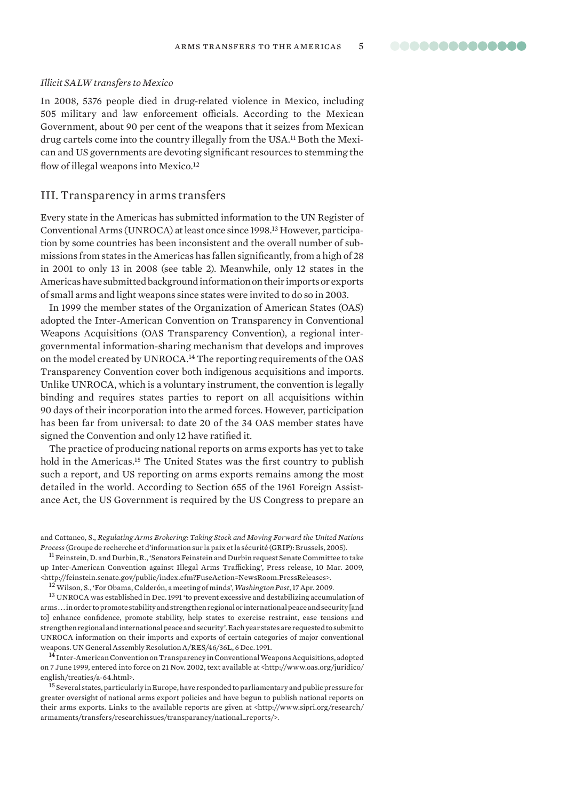#### <span id="page-4-0"></span>*Illicit SALW transfers to Mexico*

In 2008, 5376 people died in drug-related violence in Mexico, including 505 military and law enforcement officials. According to the Mexican Government, about 90 per cent of the weapons that it seizes from Mexican drug cartels come into the country illegally from the USA.<sup>11</sup> Both the Mexican and US governments are devoting significant resources to stemming the flow of illegal weapons into Mexico.<sup>12</sup>

# III. Transparency in arms transfers

Every state in the Americas has submitted information to the UN Register of Conventional Arms (UNROCA) at least once since 1998.13 However, participation by some countries has been inconsistent and the overall number of submissions from states in the Americas has fallen significantly, from a high of 28 in 2001 to only 13 in 2008 (see table 2). Meanwhile, only 12 states in the Americas have submitted background information on their imports or exports of small arms and light weapons since states were invited to do so in 2003.

In 1999 the member states of the Organization of American States (OAS) adopted the Inter-American Convention on Transparency in Conventional Weapons Acquisitions (OAS Transparency Convention), a regional intergovernmental information-sharing mechanism that develops and improves on the model created by UNROCA.14 The reporting requirements of the OAS Transparency Convention cover both indigenous acquisitions and imports. Unlike UNROCA, which is a voluntary instrument, the convention is legally binding and requires states parties to report on all acquisitions within 90 days of their incorporation into the armed forces. However, participation has been far from universal: to date 20 of the 34 OAS member states have signed the Convention and only 12 have ratified it.

The practice of producing national reports on arms exports has yet to take hold in the Americas.15 The United States was the first country to publish such a report, and US reporting on arms exports remains among the most detailed in the world. According to Section 655 of the 1961 Foreign Assistance Act, the US Government is required by the US Congress to prepare an

11 Feinstein, D. and Durbin, R., 'Senators Feinstein and Durbin request Senate Committee to take up Inter-American Convention against Illegal Arms Trafficking', Press release, 10 Mar. 2009, <http://feinstein.senate.gov/public/index.cfm?FuseAction=NewsRoom.PressReleases>.

12 Wilson, S., 'For Obama, Calderón, a meeting of minds', *Washington Post*, 17 Apr. 2009.

13 UNROCA was established in Dec. 1991 'to prevent excessive and destabilizing accumulation of arms . . . in order to promote stability and strengthen regional or international peace and security [and to] enhance confidence, promote stability, help states to exercise restraint, ease tensions and strengthen regional and international peace and security'. Each year states are requested to submit to UNROCA information on their imports and exports of certain categories of major conventional

weapons. UN General Assembly Resolution A/RES/46/36L, 6 Dec. 1991.<br><sup>14</sup> Inter-American Convention on Transparency in Conventional Weapons Acquisitions, adopted on 7 June 1999, entered into force on 21 Nov. 2002, text available at <http://www.oas.org/juridico/ english/treaties/a-64.html>.

<sup>15</sup> Several states, particularly in Europe, have responded to parliamentary and public pressure for greater oversight of national arms export policies and have begun to publish national reports on their arms exports. Links to the available reports are given at <http://www.sipri.org/research/ armaments/transfers/researchissues/transparancy/national\_reports/>.

and Cattaneo, S., *Regulating Arms Brokering: Taking Stock and Moving Forward the United Nations Process* (Groupe de recherche et d'information sur la paix et la sécurité (GRIP): Brussels, 2005).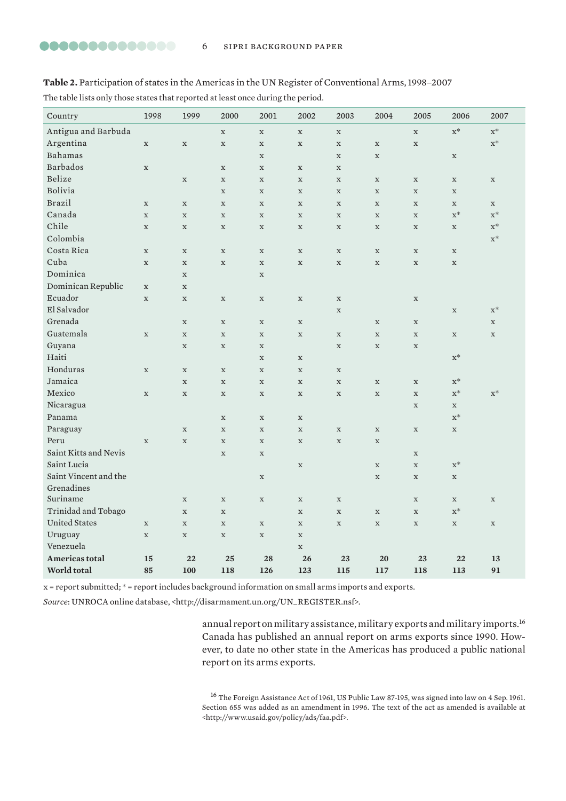### <span id="page-5-0"></span>**Table 2.** Participation of states in the Americas in the UN Register of Conventional Arms, 1998–2007

The table lists only those states that reported at least once during the period.

| Country               | 1998        | 1999        | 2000        | 2001        | 2002        | 2003        | 2004        | 2005        | 2006           | 2007           |
|-----------------------|-------------|-------------|-------------|-------------|-------------|-------------|-------------|-------------|----------------|----------------|
| Antigua and Barbuda   |             |             | $\mathbf X$ | $\mathbf X$ | $\mathbf X$ | $\mathbf X$ |             | $\mathbf X$ | $\mathbf{x}^*$ | $\mathbf{x}^*$ |
| Argentina             | $\mathbf X$ | $\mathbf X$ | $\mathbf X$ | $\mathbf X$ | $\mathbf X$ | $\mathbf X$ | $\mathbf X$ | $\mathbf x$ |                | $\mathbf{x}^*$ |
| Bahamas               |             |             |             | $\mathbf X$ |             | $\mathbf X$ | $\mathbf X$ |             | $\mathbf X$    |                |
| <b>Barbados</b>       | $\mathbf X$ |             | $\mathbf X$ | $\mathbf X$ | $\mathbf X$ | $\mathbf X$ |             |             |                |                |
| Belize                |             | $\mathbf X$ | $\mathbf X$ | $\mathbf X$ | $\mathbf X$ | $\mathbf X$ | $\mathbf X$ | $\mathbf X$ | $\mathbf X$    | $\mathbf X$    |
| Bolivia               |             |             | $\mathbf X$ | $\mathbf X$ | $\mathbf X$ | $\mathbf X$ | $\mathbf x$ | $\mathbf X$ | $\mathbf X$    |                |
| <b>Brazil</b>         | $\mathbf X$ | $\mathbf X$ | $\mathbf X$ | $\mathbf X$ | $\mathbf X$ | $\mathbf X$ | $\mathbf X$ | $\mathbf X$ | $\mathbf X$    | $\mathbf X$    |
| Canada                | $\mathbf x$ | $\mathbf X$ | $\mathbf X$ | $\mathbf X$ | $\mathbf X$ | $\mathbf X$ | $\mathbf X$ | $\mathbf X$ | $\mathbf{x}^*$ | $\mathbf{x}^*$ |
| Chile                 | $\mathbf X$ | $\mathbf X$ | $\mathbf X$ | $\mathbf X$ | $\mathbf X$ | $\mathbf X$ | $\mathbf X$ | $\mathbf X$ | $\mathbf X$    | $\mathbf{x}^*$ |
| Colombia              |             |             |             |             |             |             |             |             |                | $\mathbf{x}^*$ |
| Costa Rica            | $\mathbf X$ | $\mathbf X$ | $\mathbf X$ | $\mathbf X$ | $\mathbf X$ | $\mathbf X$ | $\mathbf X$ | $\mathbf X$ | $\mathbf X$    |                |
| Cuba                  | $\mathbf X$ | $\mathbf X$ | $\mathbf X$ | $\mathbf X$ | $\mathbf X$ | $\mathbf X$ | $\mathbf x$ | $\mathbf x$ | $\mathbf x$    |                |
| Dominica              |             | $\mathbf x$ |             | $\mathbf x$ |             |             |             |             |                |                |
| Dominican Republic    | $\mathbf X$ | $\mathbf x$ |             |             |             |             |             |             |                |                |
| Ecuador               | $\mathbf X$ | $\mathbf X$ | $\mathbf X$ | $\mathbf X$ | $\mathbf X$ | $\mathbf X$ |             | $\mathbf X$ |                |                |
| El Salvador           |             |             |             |             |             | $\mathbf x$ |             |             | $\mathbf x$    | $\mathbf{x}^*$ |
| Grenada               |             | $\mathbf X$ | $\mathbf X$ | $\mathbf X$ | $\mathbf X$ |             | $\mathbf X$ | $\mathbf X$ |                | $\mathbf X$    |
| Guatemala             | $\mathbf x$ | $\mathbf X$ | $\mathbf X$ | $\mathbf X$ | $\mathbf X$ | $\mathbf X$ | $\mathbf X$ | $\mathbf x$ | $\mathbf X$    | $\mathbf X$    |
| Guyana                |             | $\mathbf X$ | $\mathbf X$ | $\mathbf X$ |             | $\mathbf X$ | $\mathbf X$ | $\mathbf X$ |                |                |
| Haiti                 |             |             |             | $\mathbf X$ | $\mathbf X$ |             |             |             | $\mathbf{x}^*$ |                |
| Honduras              | $\mathbf X$ | $\mathbf X$ | $\mathbf X$ | $\mathbf X$ | $\mathbf X$ | $\mathbf X$ |             |             |                |                |
| Jamaica               |             | $\mathbf x$ | $\mathbf x$ | $\mathbf X$ | $\mathbf X$ | $\mathbf x$ | $\mathbf X$ | $\mathbf x$ | $X^*$          |                |
| Mexico                | $\mathbf X$ | $\mathbf X$ | $\mathbf X$ | $\mathbf X$ | $\mathbf X$ | $\mathbf X$ | $\mathbf X$ | $\mathbf X$ | $\mathbf{x}^*$ | $\mathbf{x}^*$ |
| Nicaragua             |             |             |             |             |             |             |             | $\mathbf x$ | $\mathbf X$    |                |
| Panama                |             |             | $\mathbf X$ | $\mathbf X$ | $\mathbf X$ |             |             |             | $X^*$          |                |
| Paraguay              |             | $\mathbf X$ | $\mathbf X$ | $\mathbf X$ | $\mathbf X$ | $\mathbf X$ | $\mathbf X$ | $\mathbf X$ | $\mathbf X$    |                |
| Peru                  | $\mathbf X$ | $\mathbf X$ | $\mathbf X$ | $\mathbf X$ | $\mathbf X$ | $\mathbf X$ | $\mathbf X$ |             |                |                |
| Saint Kitts and Nevis |             |             | $\mathbf X$ | $\mathbf X$ |             |             |             | $\mathbf x$ |                |                |
| Saint Lucia           |             |             |             |             | $\mathbf X$ |             | $\mathbf X$ | $\mathbf X$ | $\mathbf{x}^*$ |                |
| Saint Vincent and the |             |             |             | $\mathbf X$ |             |             | $\mathbf x$ | $\mathbf x$ | $\mathbf X$    |                |
| Grenadines            |             |             |             |             |             |             |             |             |                |                |
| Suriname              |             | $\mathbf X$ | $\mathbf X$ | $\mathbf X$ | $\mathbf X$ | $\mathbf X$ |             | $\mathbf X$ | $\mathbf X$    | $\mathbf X$    |
| Trinidad and Tobago   |             | $\mathbf X$ | $\mathbf X$ |             | $\mathbf X$ | $\mathbf X$ | $\mathbf X$ | $\mathbf X$ | $\mathbf{x}^*$ |                |
| <b>United States</b>  | $\mathbf X$ | $\mathbf X$ | $\mathbf X$ | $\mathbf X$ | $\mathbf X$ | $\mathbf X$ | $\mathbf X$ | $\mathbf X$ | $\mathbf X$    | $\mathbf X$    |
| Uruguay               | $\mathbf X$ | $\mathbf X$ | $\mathbf X$ | $\mathbf X$ | $\mathbf X$ |             |             |             |                |                |
| Venezuela             |             |             |             |             | $\mathbf X$ |             |             |             |                |                |
| <b>Americas total</b> | 15          | 22          | 25          | 28          | 26          | 23          | 20          | 23          | 22             | 13             |
| World total           | 85          | 100         | 118         | 126         | 123         | 115         | 117         | 118         | 113            | 91             |

x = report submitted; \* = report includes background information on small arms imports and exports.

*Source*: UNROCA online database, <http://disarmament.un.org/UN\_REGISTER.nsf>.

annual report on military assistance, military exports and military imports.16 Canada has published an annual report on arms exports since 1990. However, to date no other state in the Americas has produced a public national report on its arms exports.

16 The Foreign Assistance Act of 1961, US Public Law 87-195, was signed into law on 4 Sep. 1961. Section 655 was added as an amendment in 1996. The text of the act as amended is available at <http://www.usaid.gov/policy/ads/faa.pdf>.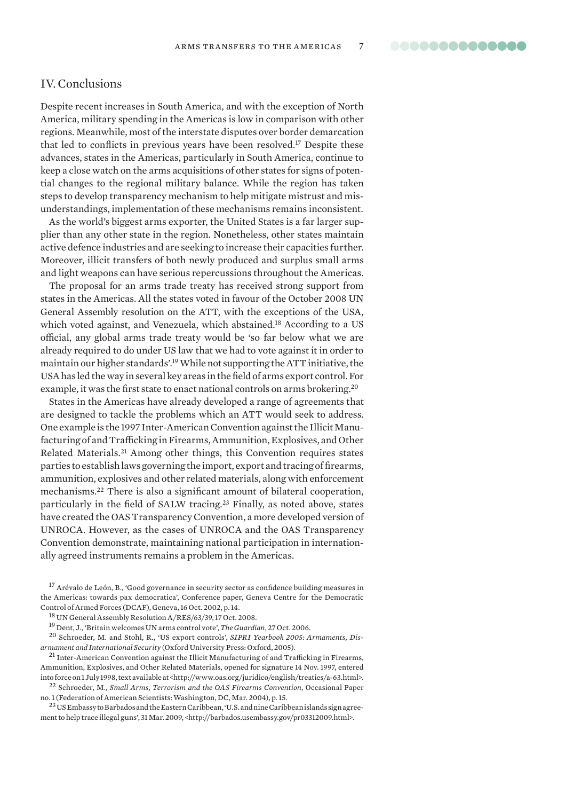# <span id="page-6-0"></span>IV. Conclusions

Despite recent increases in South America, and with the exception of North America, military spending in the Americas is low in comparison with other regions. Meanwhile, most of the interstate disputes over border demarcation that led to conflicts in previous years have been resolved.17 Despite these advances, states in the Americas, particularly in South America, continue to keep a close watch on the arms acquisitions of other states for signs of potential changes to the regional military balance. While the region has taken steps to develop transparency mechanism to help mitigate mistrust and misunderstandings, implementation of these mechanisms remains inconsistent.

As the world's biggest arms exporter, the United States is a far larger supplier than any other state in the region. Nonetheless, other states maintain active defence industries and are seeking to increase their capacities further. Moreover, illicit transfers of both newly produced and surplus small arms and light weapons can have serious repercussions throughout the Americas.

The proposal for an arms trade treaty has received strong support from states in the Americas. All the states voted in favour of the October 2008 UN General Assembly resolution on the ATT, with the exceptions of the USA, which voted against, and Venezuela, which abstained.<sup>18</sup> According to a US official, any global arms trade treaty would be 'so far below what we are already required to do under US law that we had to vote against it in order to maintain our higher standards'.19 While not supporting the ATT initiative, the USA has led the way in several key areas in the field of arms export control. For example, it was the first state to enact national controls on arms brokering.20

States in the Americas have already developed a range of agreements that are designed to tackle the problems which an ATT would seek to address. One example is the 1997 Inter-American Convention against the Illicit Manufacturing of and Trafficking in Firearms, Ammunition, Explosives, and Other Related Materials.21 Among other things, this Convention requires states parties to establish laws governing the import, export and tracing of firearms, ammunition, explosives and other related materials, along with enforcement mechanisms.22 There is also a significant amount of bilateral cooperation, particularly in the field of SALW tracing.23 Finally, as noted above, states have created the OAS Transparency Convention, a more developed version of UNROCA. However, as the cases of UNROCA and the OAS Transparency Convention demonstrate, maintaining national participation in internationally agreed instruments remains a problem in the Americas.

<sup>17</sup> Arévalo de León, B., 'Good governance in security sector as confidence building measures in the Americas: towards pax democratica', Conference paper, Geneva Centre for the Democratic Control of Armed Forces (DCAF), Geneva, 16 Oct. 2002, p. 14.

19 Dent, J., 'Britain welcomes UN arms control vote', *The Guardian*, 27 Oct. 2006.

20 Schroeder, M. and Stohl, R., 'US export controls', *SIPRI Yearbook 2005: Armaments, Dis-*

*armament and International Security* (Oxford University Press: Oxford, 2005). 21 Inter-American Convention against the Illicit Manufacturing of and Trafficking in Firearms, Ammunition, Explosives, and Other Related Materials, opened for signature 14 Nov. 1997, entered into force on 1 July 1998, text available at <http://www.oas.org/juridico/english/treaties/a-63.html>.

22 Schroeder, M., *Small Arms, Terrorism and the OAS Firearms Convention*, Occasional Paper no. 1 (Federation of American Scientists: Washington, DC, Mar. 2004), p. 15.

<sup>23</sup> US Embassy to Barbados and the Eastern Caribbean, 'U.S. and nine Caribbean islands sign agreement to help trace illegal guns', 31 Mar. 2009, <http://barbados.usembassy.gov/pr03312009.html>.

<sup>18</sup> UN General Assembly Resolution A/RES/63/39, 17 Oct. 2008.